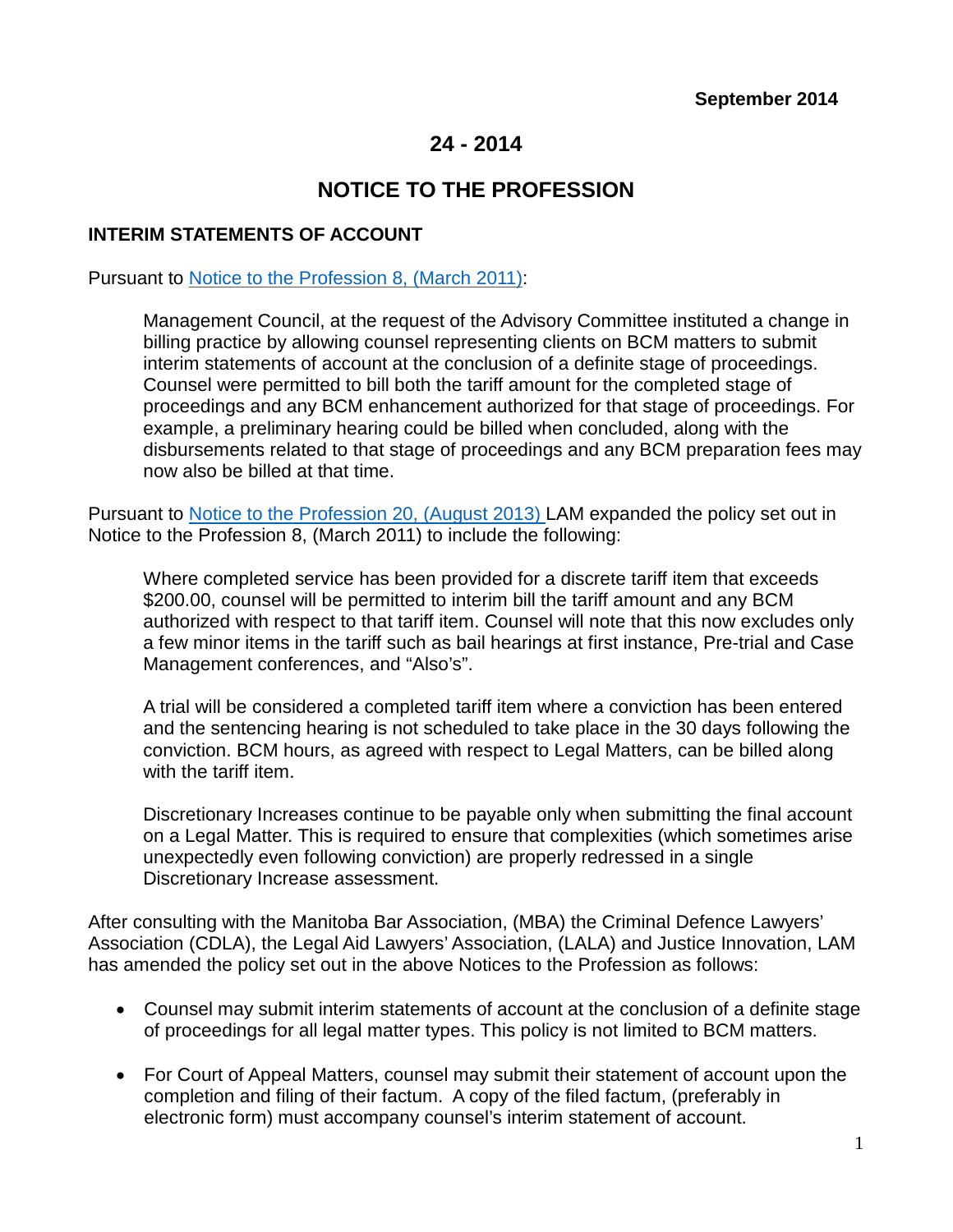# **24 - 2014**

# **NOTICE TO THE PROFESSION**

#### **INTERIM STATEMENTS OF ACCOUNT**

#### Pursuant to [Notice to the Profession 8, \(March 2011\):](http://www.legalaid.mb.ca/pdf/notices2010en.pdf)

Management Council, at the request of the Advisory Committee instituted a change in billing practice by allowing counsel representing clients on BCM matters to submit interim statements of account at the conclusion of a definite stage of proceedings. Counsel were permitted to bill both the tariff amount for the completed stage of proceedings and any BCM enhancement authorized for that stage of proceedings. For example, a preliminary hearing could be billed when concluded, along with the disbursements related to that stage of proceedings and any BCM preparation fees may now also be billed at that time.

Pursuant to [Notice to the Profession 20, \(August 2013\) L](http://www.legalaid.mb.ca/pdf/np_20_2013.pdf)AM expanded the policy set out in Notice to the Profession 8, (March 2011) to include the following:

Where completed service has been provided for a discrete tariff item that exceeds \$200.00, counsel will be permitted to interim bill the tariff amount and any BCM authorized with respect to that tariff item. Counsel will note that this now excludes only a few minor items in the tariff such as bail hearings at first instance, Pre-trial and Case Management conferences, and "Also's".

A trial will be considered a completed tariff item where a conviction has been entered and the sentencing hearing is not scheduled to take place in the 30 days following the conviction. BCM hours, as agreed with respect to Legal Matters, can be billed along with the tariff item.

Discretionary Increases continue to be payable only when submitting the final account on a Legal Matter. This is required to ensure that complexities (which sometimes arise unexpectedly even following conviction) are properly redressed in a single Discretionary Increase assessment.

After consulting with the Manitoba Bar Association, (MBA) the Criminal Defence Lawyers' Association (CDLA), the Legal Aid Lawyers' Association, (LALA) and Justice Innovation, LAM has amended the policy set out in the above Notices to the Profession as follows:

- Counsel may submit interim statements of account at the conclusion of a definite stage of proceedings for all legal matter types. This policy is not limited to BCM matters.
- For Court of Appeal Matters, counsel may submit their statement of account upon the completion and filing of their factum. A copy of the filed factum, (preferably in electronic form) must accompany counsel's interim statement of account.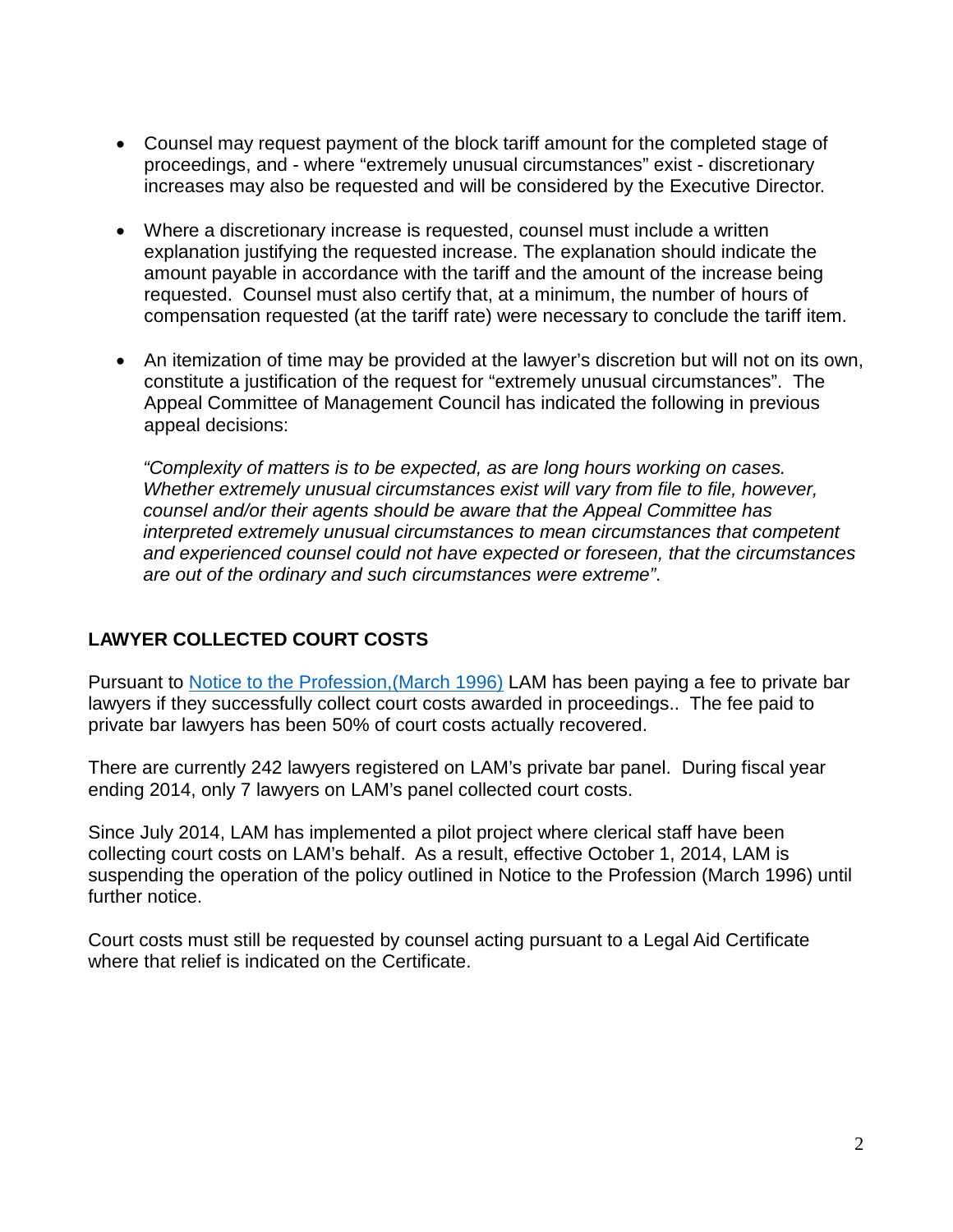- Counsel may request payment of the block tariff amount for the completed stage of proceedings, and - where "extremely unusual circumstances" exist - discretionary increases may also be requested and will be considered by the Executive Director.
- Where a discretionary increase is requested, counsel must include a written explanation justifying the requested increase. The explanation should indicate the amount payable in accordance with the tariff and the amount of the increase being requested. Counsel must also certify that, at a minimum, the number of hours of compensation requested (at the tariff rate) were necessary to conclude the tariff item.
- An itemization of time may be provided at the lawyer's discretion but will not on its own, constitute a justification of the request for "extremely unusual circumstances". The Appeal Committee of Management Council has indicated the following in previous appeal decisions:

*"Complexity of matters is to be expected, as are long hours working on cases. Whether extremely unusual circumstances exist will vary from file to file, however, counsel and/or their agents should be aware that the Appeal Committee has interpreted extremely unusual circumstances to mean circumstances that competent and experienced counsel could not have expected or foreseen, that the circumstances are out of the ordinary and such circumstances were extreme"*.

# **LAWYER COLLECTED COURT COSTS**

Pursuant to [Notice to the Profession,\(March 1996\)](http://www.legalaid.mb.ca/pdf/notices1996_2009.pdf) LAM has been paying a fee to private bar lawyers if they successfully collect court costs awarded in proceedings.. The fee paid to private bar lawyers has been 50% of court costs actually recovered.

There are currently 242 lawyers registered on LAM's private bar panel. During fiscal year ending 2014, only 7 lawyers on LAM's panel collected court costs.

Since July 2014, LAM has implemented a pilot project where clerical staff have been collecting court costs on LAM's behalf. As a result, effective October 1, 2014, LAM is suspending the operation of the policy outlined in Notice to the Profession (March 1996) until further notice.

Court costs must still be requested by counsel acting pursuant to a Legal Aid Certificate where that relief is indicated on the Certificate.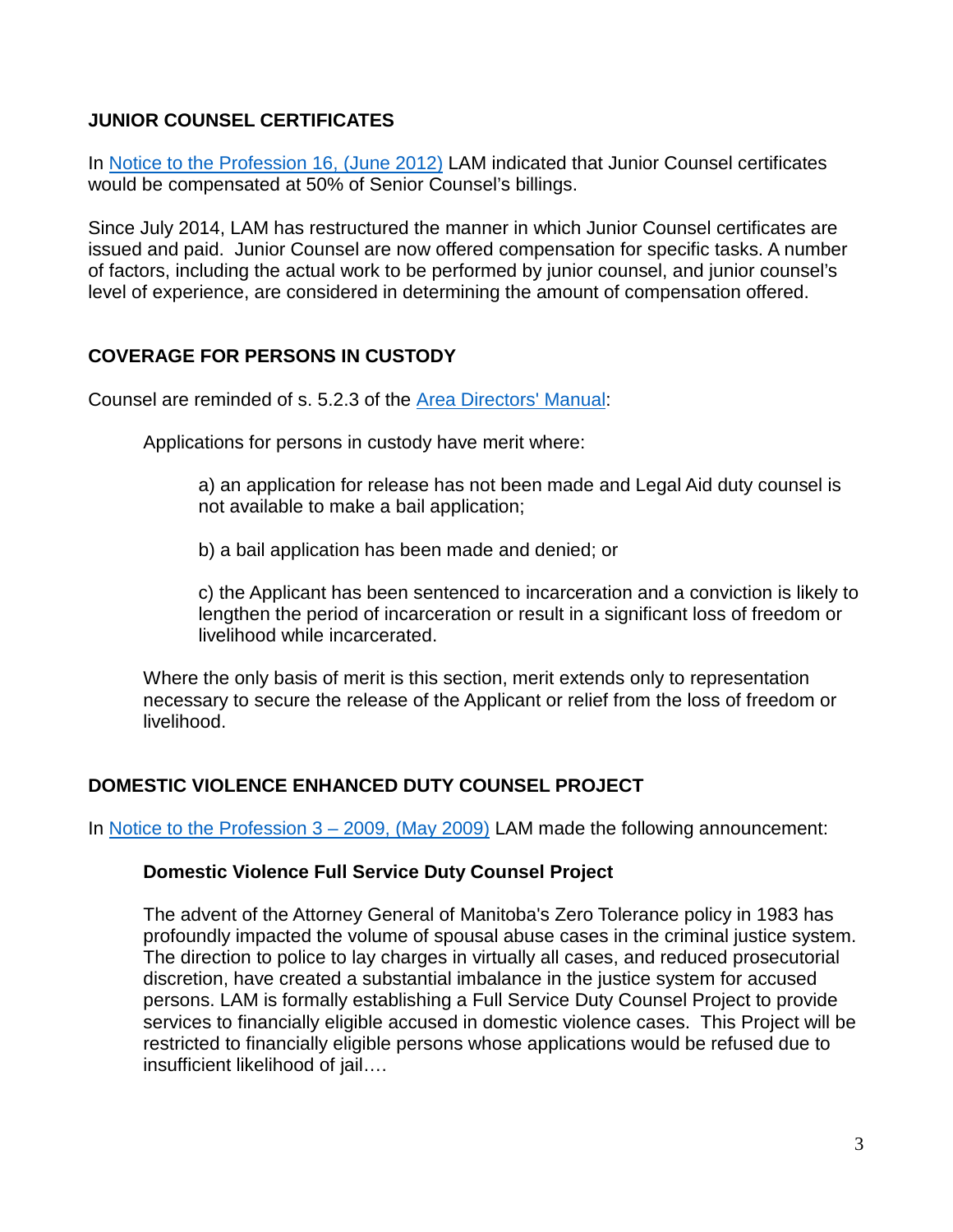#### **JUNIOR COUNSEL CERTIFICATES**

In [Notice to the Profession 16, \(June 2012\)](http://www.legalaid.mb.ca/pdf/notices2012en.pdf) LAM indicated that Junior Counsel certificates would be compensated at 50% of Senior Counsel's billings.

Since July 2014, LAM has restructured the manner in which Junior Counsel certificates are issued and paid. Junior Counsel are now offered compensation for specific tasks. A number of factors, including the actual work to be performed by junior counsel, and junior counsel's level of experience, are considered in determining the amount of compensation offered.

### **COVERAGE FOR PERSONS IN CUSTODY**

Counsel are reminded of s. 5.2.3 of the [Area Directors' Manual:](http://www.legalaid.mb.ca/pdf/ADM_EXTERNAL_May27_2014.pdf)

Applications for persons in custody have merit where:

a) an application for release has not been made and Legal Aid duty counsel is not available to make a bail application;

b) a bail application has been made and denied; or

c) the Applicant has been sentenced to incarceration and a conviction is likely to lengthen the period of incarceration or result in a significant loss of freedom or livelihood while incarcerated.

Where the only basis of merit is this section, merit extends only to representation necessary to secure the release of the Applicant or relief from the loss of freedom or livelihood.

#### **DOMESTIC VIOLENCE ENHANCED DUTY COUNSEL PROJECT**

In Notice to the Profession  $3 - 2009$ , (May 2009) LAM made the following announcement:

#### **Domestic Violence Full Service Duty Counsel Project**

The advent of the Attorney General of Manitoba's Zero Tolerance policy in 1983 has profoundly impacted the volume of spousal abuse cases in the criminal justice system. The direction to police to lay charges in virtually all cases, and reduced prosecutorial discretion, have created a substantial imbalance in the justice system for accused persons. LAM is formally establishing a Full Service Duty Counsel Project to provide services to financially eligible accused in domestic violence cases. This Project will be restricted to financially eligible persons whose applications would be refused due to insufficient likelihood of jail….